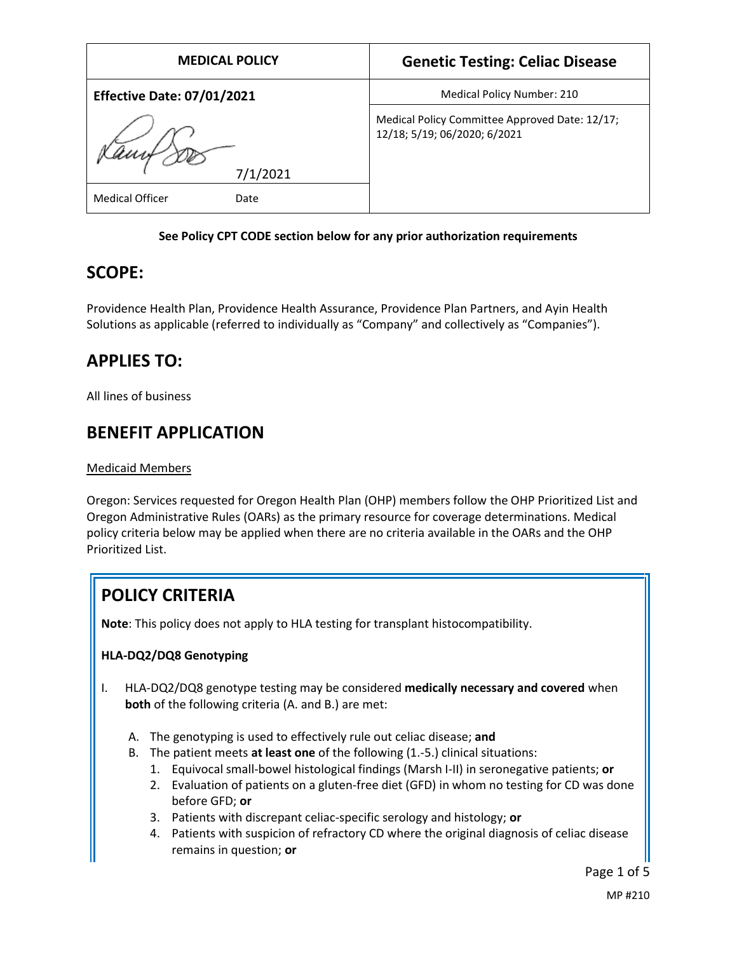| <b>MEDICAL POLICY</b>             | <b>Genetic Testing: Celiac Disease</b>                                         |
|-----------------------------------|--------------------------------------------------------------------------------|
| <b>Effective Date: 07/01/2021</b> | Medical Policy Number: 210                                                     |
|                                   | Medical Policy Committee Approved Date: 12/17;<br>12/18; 5/19; 06/2020; 6/2021 |
| 7/1/2021                          |                                                                                |
| <b>Medical Officer</b><br>Date    |                                                                                |

#### **See Policy CPT CODE section below for any prior authorization requirements**

## **SCOPE:**

Providence Health Plan, Providence Health Assurance, Providence Plan Partners, and Ayin Health Solutions as applicable (referred to individually as "Company" and collectively as "Companies").

## **APPLIES TO:**

All lines of business

## **BENEFIT APPLICATION**

#### Medicaid Members

Oregon: Services requested for Oregon Health Plan (OHP) members follow the OHP Prioritized List and Oregon Administrative Rules (OARs) as the primary resource for coverage determinations. Medical policy criteria below may be applied when there are no criteria available in the OARs and the OHP Prioritized List.

# **POLICY CRITERIA**

**Note**: This policy does not apply to HLA testing for transplant histocompatibility.

#### **HLA-DQ2/DQ8 Genotyping**

- I. HLA-DQ2/DQ8 genotype testing may be considered **medically necessary and covered** when **both** of the following criteria (A. and B.) are met:
	- A. The genotyping is used to effectively rule out celiac disease; **and**
	- B. The patient meets **at least one** of the following (1.-5.) clinical situations:
		- 1. Equivocal small-bowel histological findings (Marsh I-II) in seronegative patients; **or**
		- 2. Evaluation of patients on a gluten-free diet (GFD) in whom no testing for CD was done before GFD; **or**
		- 3. Patients with discrepant celiac-specific serology and histology; **or**
		- 4. Patients with suspicion of refractory CD where the original diagnosis of celiac disease remains in question; **or**

Page 1 of 5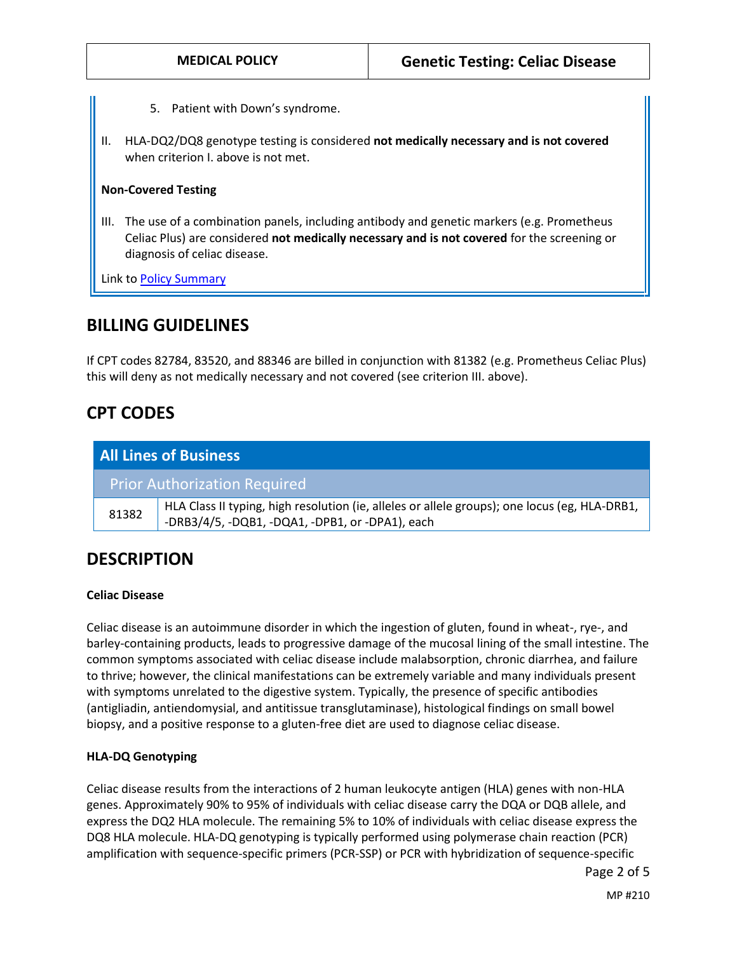- 5. Patient with Down's syndrome.
- II. HLA-DQ2/DQ8 genotype testing is considered **not medically necessary and is not covered**  when criterion I. above is not met.

#### **Non-Covered Testing**

III. The use of a combination panels, including antibody and genetic markers (e.g. Prometheus Celiac Plus) are considered **not medically necessary and is not covered** for the screening or diagnosis of celiac disease.

Link t[o Policy Summary](#page-3-0)

### **BILLING GUIDELINES**

If CPT codes 82784, 83520, and 88346 are billed in conjunction with 81382 (e.g. Prometheus Celiac Plus) this will deny as not medically necessary and not covered (see criterion III. above).

### **CPT CODES**

| <b>All Lines of Business</b>        |                                                                                                                                                  |
|-------------------------------------|--------------------------------------------------------------------------------------------------------------------------------------------------|
| <b>Prior Authorization Required</b> |                                                                                                                                                  |
| 81382                               | HLA Class II typing, high resolution (ie, alleles or allele groups); one locus (eg, HLA-DRB1,<br>-DRB3/4/5, -DQB1, -DQA1, -DPB1, or -DPA1), each |

### **DESCRIPTION**

#### **Celiac Disease**

Celiac disease is an autoimmune disorder in which the ingestion of gluten, found in wheat-, rye-, and barley-containing products, leads to progressive damage of the mucosal lining of the small intestine. The common symptoms associated with celiac disease include malabsorption, chronic diarrhea, and failure to thrive; however, the clinical manifestations can be extremely variable and many individuals present with symptoms unrelated to the digestive system. Typically, the presence of specific antibodies (antigliadin, antiendomysial, and antitissue transglutaminase), histological findings on small bowel biopsy, and a positive response to a gluten-free diet are used to diagnose celiac disease.

#### **HLA-DQ Genotyping**

Celiac disease results from the interactions of 2 human leukocyte antigen (HLA) genes with non-HLA genes. Approximately 90% to 95% of individuals with celiac disease carry the DQA or DQB allele, and express the DQ2 HLA molecule. The remaining 5% to 10% of individuals with celiac disease express the DQ8 HLA molecule. HLA-DQ genotyping is typically performed using polymerase chain reaction (PCR) amplification with sequence-specific primers (PCR-SSP) or PCR with hybridization of sequence-specific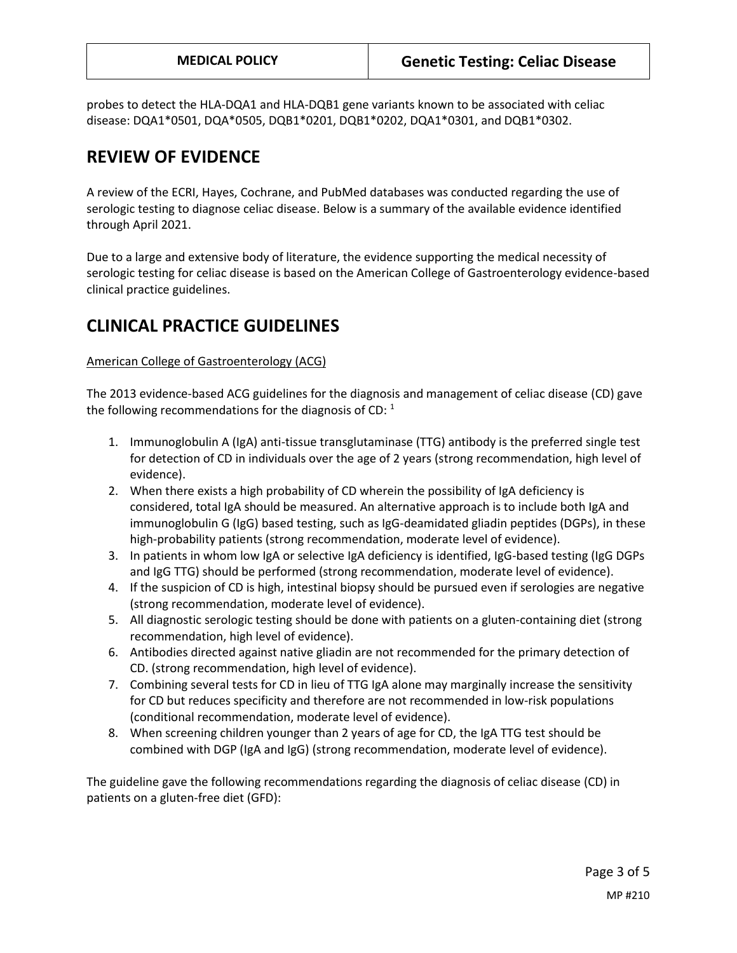probes to detect the HLA-DQA1 and HLA-DQB1 gene variants known to be associated with celiac disease: DQA1\*0501, DQA\*0505, DQB1\*0201, DQB1\*0202, DQA1\*0301, and DQB1\*0302.

# **REVIEW OF EVIDENCE**

A review of the ECRI, Hayes, Cochrane, and PubMed databases was conducted regarding the use of serologic testing to diagnose celiac disease. Below is a summary of the available evidence identified through April 2021.

Due to a large and extensive body of literature, the evidence supporting the medical necessity of serologic testing for celiac disease is based on the American College of Gastroenterology evidence-based clinical practice guidelines.

## **CLINICAL PRACTICE GUIDELINES**

#### American College of Gastroenterology (ACG)

The 2013 evidence-based ACG guidelines for the diagnosis and management of celiac disease (CD) gave the following recommendations for the diagnosis of CD:  $^1$ 

- 1. Immunoglobulin A (IgA) anti-tissue transglutaminase (TTG) antibody is the preferred single test for detection of CD in individuals over the age of 2 years (strong recommendation, high level of evidence).
- 2. When there exists a high probability of CD wherein the possibility of IgA deficiency is considered, total IgA should be measured. An alternative approach is to include both IgA and immunoglobulin G (IgG) based testing, such as IgG-deamidated gliadin peptides (DGPs), in these high-probability patients (strong recommendation, moderate level of evidence).
- 3. In patients in whom low IgA or selective IgA deficiency is identified, IgG-based testing (IgG DGPs and IgG TTG) should be performed (strong recommendation, moderate level of evidence).
- 4. If the suspicion of CD is high, intestinal biopsy should be pursued even if serologies are negative (strong recommendation, moderate level of evidence).
- 5. All diagnostic serologic testing should be done with patients on a gluten-containing diet (strong recommendation, high level of evidence).
- 6. Antibodies directed against native gliadin are not recommended for the primary detection of CD. (strong recommendation, high level of evidence).
- 7. Combining several tests for CD in lieu of TTG IgA alone may marginally increase the sensitivity for CD but reduces specificity and therefore are not recommended in low-risk populations (conditional recommendation, moderate level of evidence).
- 8. When screening children younger than 2 years of age for CD, the IgA TTG test should be combined with DGP (IgA and IgG) (strong recommendation, moderate level of evidence).

The guideline gave the following recommendations regarding the diagnosis of celiac disease (CD) in patients on a gluten-free diet (GFD):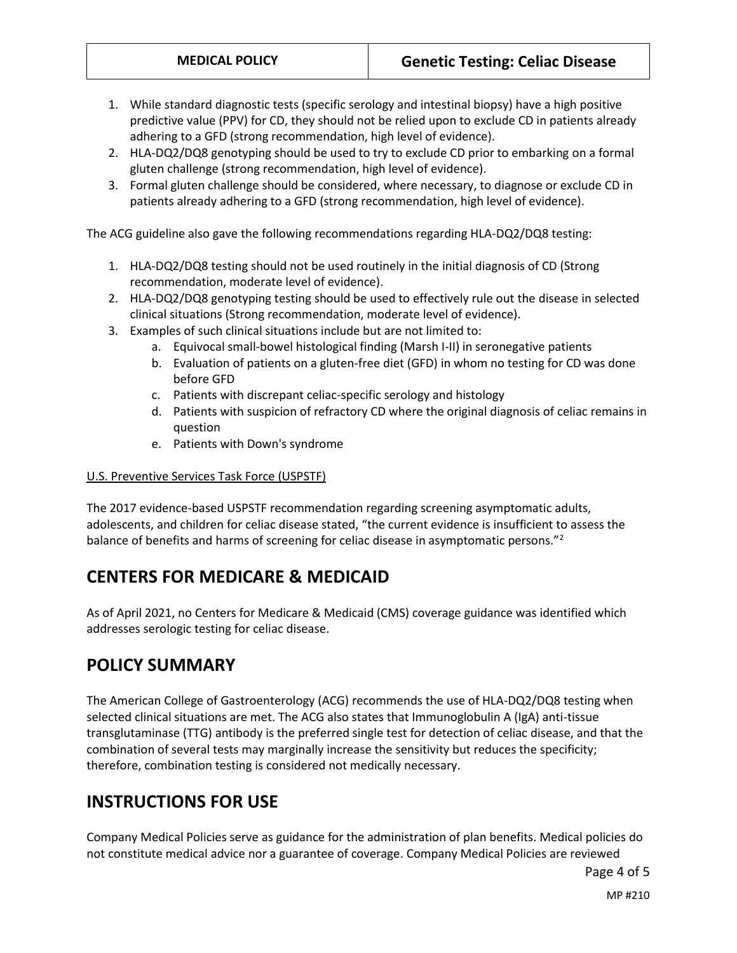- 1. While standard diagnostic tests (specific serology and intestinal biopsy) have a high positive predictive value (PPV) for CD, they should not be relied upon to exclude CD in patients already adhering to a GFD (strong recommendation, high level of evidence).
- 2. HLA-DQ2/DQ8 genotyping should be used to try to exclude CD prior to embarking on a formal gluten challenge (strong recommendation, high level of evidence).
- 3. Formal gluten challenge should be considered, where necessary, to diagnose or exclude CD in patients already adhering to a GFD (strong recommendation, high level of evidence).

The ACG guideline also gave the following recommendations regarding HLA-DQ2/DQ8 testing:

- 1. HLA-DQ2/DQ8 testing should not be used routinely in the initial diagnosis of CD (Strong recommendation, moderate level of evidence).
- 2. HLA-DQ2/DQ8 genotyping testing should be used to effectively rule out the disease in selected clinical situations (Strong recommendation, moderate level of evidence).
- 3. Examples of such clinical situations include but are not limited to:
	- a. Equivocal small-bowel histological finding (Marsh I-II) in seronegative patients
	- b. Evaluation of patients on a gluten-free diet (GFD) in whom no testing for CD was done before GFD
	- c. Patients with discrepant celiac-specific serology and histology
	- d. Patients with suspicion of refractory CD where the original diagnosis of celiac remains in question
	- e. Patients with Down's syndrome

#### U.S. Preventive Services Task Force (USPSTF)

The 2017 evidence-based USPSTF recommendation regarding screening asymptomatic adults, adolescents, and children for celiac disease stated, "the current evidence is insufficient to assess the balance of benefits and harms of screening for celiac disease in asymptomatic persons."<sup>2</sup>

# <span id="page-3-0"></span>**CENTERS FOR MEDICARE & MEDICAID**

As of April 2021, no Centers for Medicare & Medicaid (CMS) coverage guidance was identified which addresses serologic testing for celiac disease.

## **POLICY SUMMARY**

The American College of Gastroenterology (ACG) recommends the use of HLA-DQ2/DQ8 testing when selected clinical situations are met. The ACG also states that Immunoglobulin A (IgA) anti-tissue transglutaminase (TTG) antibody is the preferred single test for detection of celiac disease, and that the combination of several tests may marginally increase the sensitivity but reduces the specificity; therefore, combination testing is considered not medically necessary.

# **INSTRUCTIONS FOR USE**

Company Medical Policies serve as guidance for the administration of plan benefits. Medical policies do not constitute medical advice nor a guarantee of coverage. Company Medical Policies are reviewed